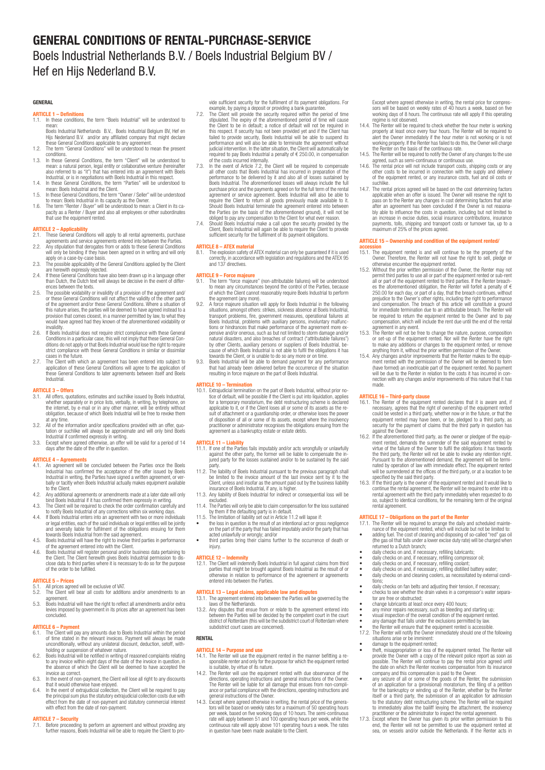# GENERAL CONDITIONS OF RENTAL-PURCHASE-SERVICE Boels Industrial Netherlands B.V. / Boels Industrial Belgium BV / Hef en Hijs Nederland B.V.

#### GENERAL

#### **ARTICLE 1 – Definitions**

- 1.1. In these conditions, the term "Boels Industrial" will be understood to
- mean:<br>Boels Industrial Netherlands B.V., Boels Industrial Belgium BV, Hef en<br>Hijs Nederland B.V. and/or any affiliated company that might declare<br>these General Conditions applicable to any agreement.<br>1.2. The term "General
- conditions. 1.3. In these General Conditions, the term "Client" will be understood to
- mean: a natural person, legal entity or collaborative venture (hereinafter also referred to as "it") that has entered into an agreement with Boels Industrial, or is in negotiations with Boels Industrial in this respect.
- 1.4. In these General Conditions, the term "Parties" will be understood to
- mean: Boels Industrial and the Client.<br>1.5. In these General Conditions, the term "Owner / Seller" will be understood<br>to mean: Boels Industrial in its capacity as the Owner.<br>1.6. The term "Renter / Buyer" will be understoo
- 

# **ARTICLE 2 – Applicability**<br>2.1 These General Condi

- 2.1. These General Conditions will apply to all rental agreements, purchase agreements and service agreements entered into between the Parties. 2.2. Any stipulation that derogates from or adds to these General Conditions
- will only be binding if they have been agreed on in writing and will only apply on a case-by-case basis.
- 2.3. The possible applicability of the General Conditions applied by the Client are herewith expressly rejected.
- 2.4. If these General Conditions have also been drawn up in a language other than Dutch, the Dutch text will always be decisive in the event of differ-ences between the texts. 2.5. The possible voidability or invalidity of a provision of the agreement and/
- or these General Conditions will not affect the validity of the other parts of the agreement and/or these General Conditions. Where a situation of this nature arises, the parties will be deemed to have agreed instead to a provision that comes closest, in a manner permitted by law, to what they would have agreed had they known of the aforementioned voidability or invalidity.
- 2.6. If Boels Industrial does not require strict compliance with these General<br>Conditions in a particular case, this will not imply that these General Con-<br>ditions do not apply or that Boels Industrial would lose the right strict compliance with these General Conditions in similar or dissimilar cases in the future.
- 2.7. The Client with which an agreement has been entered into subject to application of these General Conditions will agree to the application of these General Conditions to later agreements between itself and Boels Industrial.

#### **ARTICLE 3**

- 3.1. All offers, quotations, estimates and suchlike issued by Boels Industrial, whether separately or in price lists, verbally, in writing, by telephone, on<br>the internet, by e-mail or in any other manner, will be entirely without<br>obligation, because of which Boels Industrial will be free to revoke the at any time.
- 3.2. All of the information and/or specifications provided with an offer, quotation or suchlike will always be approximate and will only bind Boels Industrial if confirmed expressly in writing. 3.3. Except where agreed otherwise, an offer will be valid for a period of 14
- days after the date of the offer in question.

# **ARTICLE 4 – Agreements**<br> $4.1$  • An agreement will b

- 4.1. An agreement will be concluded between the Parties once the Boels<br>Industrial has confirmed the acceptance of the offer issued by Boels<br>Industrial in writing, the Parties have signed a written agreement, or ver-<br>Inally to the Client.
- 4.2. Any additional agreements or amendments made at a later date will only bind Boels Industrial if it has confirmed them expressly in writing. 4.3. The Client will be required to check the order confirmation carefully and
- to notify Boels Industrial of any corrections within six working days.
- 4.4. If Boels Industrial enters into an agreement with two or more individuals<br>or legal entities, each of the said individuals or legal entities will be jointly<br>and severally liable for fulfilment of the obligations ensuin
- towards Boels Industrial from the said agreement.<br>4.5. Boels Industrial will have the right to involve third parties in performance<br>4.5. Goels Industrial will rayister personal and/or business data pertaining to<br>4.6. Boels
- close data to third parties where it is necessary to do so for the purpose of the order to be fulfilled.

#### ARTICLE 5 – Prices

- 5.1. All prices agreed will be exclusive of VAT.<br>5.2. The Client will bear all costs for additional
- 5.2. The Client will bear all costs for additions and/or amendments to an agreement.
- 5.3. Boels Industrial will have the right to reflect all amendments and/or extra levies imposed by government in its prices after an agreement has been concluded.

# **ARTICLE 6 – Paym**<br>6.1 The Client will

- 6.1. The Client will pay any amounts due to Boels Industrial within the period of time stated in the relevant invoices. Payment will always be made unconditionally, without any unilateral discount, deduction, setoff, with-
- holding or suspension of whatever nature.<br>6.2. Boels Industrial will be notified in writing of reasoned complaints relating<br>to any invoice within eight days of the date of the invoice in question, in<br>the absence of which t invoice as correct.
- 6.3. In the event of non-payment, the Client will lose all right to any discounts
- that it would otherwise have enjoyed. 6.4. In the event of extrajudicial collection, the Client will be required to pay the principal sum plus the statutory extrajudicial collection costs due with effect from the date of non-payment and statutory commercial interest with effect from the date of non-payment.

# **ARTICLE 7 – Security**<br>7.1. Before processing

**EXACT - SCCUTTY**<br>Before proceeding to perform an agreement and without providing any further reasons, Boels Industrial will be able to require the Client to pro-

vide sufficient security for the fulfilment of its payment obligations. For example, by paying a deposit or providing a bank guarantee. 7.2. The Client will provide the security required within the period of time

- stipulated. The expiry of the aforementioned period of time will cause the Client to be in default; a notice of default will not be required in this respect. If security has not been provided yet and if the Client has failed to provide security, Boels Industrial will be able to suspend its performance and will also be able to terminate the agreement without<br>judicial intervention. In the latter situation, the Client will automatically be<br>required to pay Boels Industrial a penalty of € 250.00, in compensation
- of the costs incurred internally.<br>T.3. In the event of Article 7.2, the Client will be required to compensate<br>all other costs that Boels Industrial has incurred in preparation of the<br>performance to be delivered by it and a purchase price and the payments agreed on for the full term of the rental agreement or service agreement. Boels Industrial will also be able to require the Client to return all goods previously made available to it. Should Boels Industrial terminate the agreement entered into between<br>the Parties (on the basis of the aforementioned ground), it will not be<br>bliged to pay any compensation to the Client for what ever reason.<br>7.4. Should Bo
- sufficient security for the fulfilment of its payment obligations.

# **ARTICLE 8 – ATEX materia**<br>8.1 The explosion safety of

8.1. The explosion safety of ATEX material can only be guaranteed if it is used correctly, in accordance with legislation and regulations and the ATEX 95 and 137 directives.

#### ARTICLE 9 – Force majeure

- 9.1. The term "force majeure" (non-attributable failures) will be understood to mean any circumstances beyond the control of the Parties, because of which the Client cannot reasonably require Boels Industrial to perform the agreement (any more).
- 9.2. A force majeure situation will apply for Boels Industrial in the following<br>situations, amongst others: strikes, sickness absence at Boels Industrial,<br>transport problems, fire, government measures, operational failures Boels Industrial, problems with auxiliary persons, involuntary malfunc-tions or hindrances that make performance of the agreement more expensive and/or onerous, such as but not limited to storm damage and/or<br>natural diasaters, and also breaches of contract ("attributable failures")<br>by other Clients, auxiliary persons or suppliers of Boels Industrial, be-<br>ca
- resulting in force majeure on the part of Boels Industrial.

### ARTICLE 10 – Termination

10.1. Extrajudicial termination on the part of Boels Industrial, without prior no-<br>tice of default, will be possible if the Client is put into liquidation, applies<br>for a temporary moratorium, the debt restructuring scheme of disposition of all or some of its assets, except where the insolvency practitioner or administrator recognises the obligations ensuing from the agreement as a bankruptcy estate or estate debts.

#### ARTICLE 11 - Liability

- 11.1. If one of the Parties fails imputably and/or acts wrongfully or unlawfully against the other party, the former will be liable to compensate the injured party for the losses sustained and/or to be sustained by the said
- party. 11.2. The liability of Boels Industrial pursuant to the previous paragraph shall be limited to the invoice amount of the last invoice sent by it to the Client, unless and insofar as the amount paid out by the business liability
- insurance of Boels Industrial, if any, is higher. 11.3. Any liability of Boels Industrial for indirect or consequential loss will be excluded. 11.4. The Parties will only be able to claim compensation for the loss sustained
- 
- by them if the defaulting party is in default.<br>11.5. The limitation of liability set out in Article 11.2 will lapse if:<br>• the loss in question is the result of an intentional act or gross negligence<br>on the part of the part
- acted unlawfully or wrongly; and/or third parties bring their claims further to the occurrence of death or injury.

#### ARTICLE 12 – Indemnity

12.1. The Client will indemnify Boels Industrial in full against claims from third parties that might be brought against Boels Industrial as the result of or otherwise in relation to performance of the agreement or agreeme

ARTICLE 13 – Legal claims, applicable law and disputes<br>13.1. The agreement entered into between the Parties will be governed by the

laws of the Netherlands.<br>13.2. Any disputes that ensue from or relate to the agreement entered into<br>between the Parties will be decided by the competent court in the court<br>district of Rotterdam (this will be the subdistric

#### **RENTAL**

- ARTICLE 14 Purpose and use<br>14.1. The Renter will use the equipment rented in the manner befitting a responsible renter and only for the purpose for which the equipment rented is suitable, by virtue of its nature.
- 14.2. The Renter will use the equipment rented with due observance of the directions, operating instructions and general instructions of the Owner.<br>The Renter will be liable for all damage that ensues from non-compli-<br>ance or partial compliance with the directions, operating instructions and<br>gen
- 14.3. Except where agreed otherwise in writing, the rental price of the generators tors will be based on tweekly rates for a maximum of 50 operating hours per week, based on five working days of 10 hours. The semi-continuo in question have been made available to the Client.

Except where agreed otherwise in writing, the rental price for compres-sors will be based on weekly rates of 40 hours a week, based on five working days of 8 hours. The continuous rate will apply if this operating

- regime is not observed. 14.4. The Renter will be required to check whether the hour meter is working properly at least once every four hours. The Renter will be required to<br>alert the Owner immediately if the hour meter is not working or is not<br>working properly. If the Renter has failed to do this, the Owner will charge<br>th
- 
- agreed, such as semi-continuous or continuous use.<br>14.6. The rental price will not include transport costs, shipping costs or any<br>there costs to be incurred in connection with the supply and delivery<br>of the equipment rente
- suchlike.<br>17. The rental prices agreed will be based on the cost determining factors<br>19.7. The rental prices agreed will be based. The Owner will reserve the right to<br>19. pass on to the Renter any changes in cost determini

### ARTICLE 15 – Ownership and condition of the equipment rented/

- **accession**<br>15.1. The equipment rented is and will continue to be the property of the
- Owner. Therefore, the Renter will not have the right to sell, pledge or otherwise encumber the equipment rented. 15.2. Without the prior written permission of the Owner, the Renter may not
- permit third parties to use all or part of the equipment rented or sub-rent<br>all or part of the equipment rented to third parties. If the Renter breach-<br>es the aforementioned obligation, the Renter will forfeit a penalty o and compensation. The breach of this article will constitute a ground for immediate termination due to an attributable breach. The Renter will be required to return the equipment rented to the Owner and to pay compensation, which will include the rent due until the end of the rental agreement in any event.
- 15.3. The Renter will not be free to change the nature, purpose, composition or set-up of the equipment rented. Nor will the Renter have the right
- to make any additions or changes to the equipment rented, or remove<br>anything from it, without the prior written permission of the Owner.<br>15.4. Any changes and/or improvements that the Renter makes to the equip-<br>ment rented will be due to the Renter in relation to the costs it has incurred in con-nection with any changes and/or improvements of this nature that it has made.

#### ARTICLE 16 – Third-party clause

- 16.1. The Renter of the equipment rented declares that it is aware and, if necessary, agrees that the right of ownership of the equipment rented could be vested in a third party, whether now or in the future, or that the equipment rented may have been, or be, pledged to a third party, as<br>security for the payment of claims that the third party in question has<br>against the Owner.<br>16.2. If the aforementioned third party, as the owner or pledge
- ment rented, demands the surrender of the said equipment rented by virtue of the failure of the Owner to fulfil the obligations it has towards the third party, the Renter will not be able to invoke any retention right. Pursuant to the aforementioned demand, the agreement will be terminated by operation of law with immediate effect. The equipment rented will be surrendered at the offices of the third party, or at a location to be specifie
- continue the rental agreement, the Renter will be required to enter into a rental agreement with the third party immediately when requested to do so, subject to identical conditions, for the remaining term of the original rental agreement.

- **ARTICLE 17 Obligations on the part of the Renter**<br>
17.1. The Renter will be required to arrange the daily and scheduled mainte-<br>
nance of the equipment rented, which will include but not be limited to:<br>
 adding fuel. T
- 
- 
- 
- 
- daily checks on fan belts and adjusting their tension, if necessary; • checks to see whether the drain valves in a compressor's water separa-tor are free or obstructed;
- change lubricants at least once every 400 hours;
- any minor repairs necessary, such as bleeding and starting up;<br>• visual inspection of the overall condition of the equipment rented<br>• any damage that falls under the exclusions permitted by law,<br>• the Renter will ensure
- 
- 
- 17.2. The Renter will notify the Owner immediately should one of the following situations arise or be imminent:
- 
- drange to the equipment rented,<br>the function term of the equipment rented. The Renter will<br>provide the Owner with a copy of the relevant police report as soon as<br>possible. The Renter will continue to pay the rental price
- to the statutory debt restructuring scheme. The Renter will be required<br>to immediately allow the bailiff levying the attachment, the insolvency<br>practitioner or the administrator to inspect the rental agreement.<br>17.3. Excep
- sea, on vessels and/or outside the Netherlands. If the Renter acts in